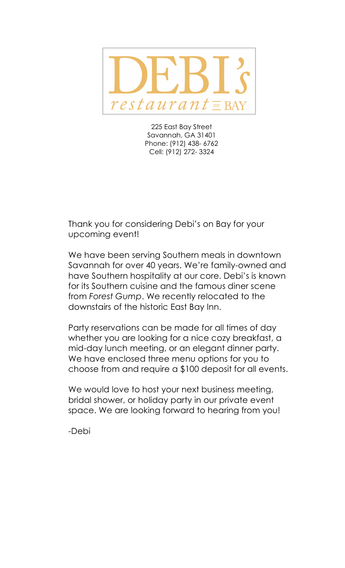

225 East Bay Street Savannah, GA 31401 Phone: (912) 438- 6762 Cell: (912) 272- 3324

Thank you for considering Debi's on Bay for your upcoming event!

We have been serving Southern meals in downtown Savannah for over 40 years. We're family-owned and have Southern hospitality at our core. Debi's is known for its Southern cuisine and the famous diner scene from *Forest Gump*. We recently relocated to the downstairs of the historic East Bay Inn.

Party reservations can be made for all times of day whether you are looking for a nice cozy breakfast, a mid-day lunch meeting, or an elegant dinner party. We have enclosed three menu options for you to choose from and require a \$100 deposit for all events.

We would love to host your next business meeting, bridal shower, or holiday party in our private event space. We are looking forward to hearing from you!

-Debi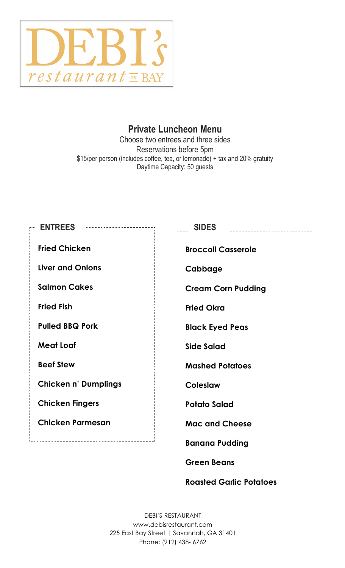

# **Private Luncheon Menu**

Choose two entrees and three sides Reservations before 5pm \$15/per person (includes coffee, tea, or lemonade) + tax and 20% gratuity Daytime Capacity: 50 guests

| <b>ENTREES</b>                  | <b>SIDES</b>                   |
|---------------------------------|--------------------------------|
| <b>Fried Chicken</b>            | <b>Broccoli Casserole</b>      |
| <b>Liver and Onions</b>         | Cabbage                        |
| <b>Salmon Cakes</b>             | <b>Cream Corn Pudding</b>      |
| <b>Fried Fish</b>               | <b>Fried Okra</b>              |
| <b>Pulled BBQ Pork</b>          | <b>Black Eyed Peas</b>         |
| <b>Meat Loaf</b>                | <b>Side Salad</b>              |
| <b>Beef Stew</b>                | <b>Mashed Potatoes</b>         |
| <b>Chicken n' Dumplings</b>     | <b>Coleslaw</b>                |
| <b>Chicken Fingers</b>          | <b>Potato Salad</b>            |
| <b>Chicken Parmesan</b>         | <b>Mac and Cheese</b>          |
| ------------------------------- | <b>Banana Pudding</b>          |
|                                 | <b>Green Beans</b>             |
|                                 | <b>Roasted Garlic Potatoes</b> |

DEBI'S RESTAURANT www.debisrestaurant.com 225 East Bay Street | Savannah, GA 31401 Phone: (912) 438- 6762

\_\_\_\_\_\_\_\_\_\_\_\_\_\_\_\_\_\_\_\_\_\_\_\_\_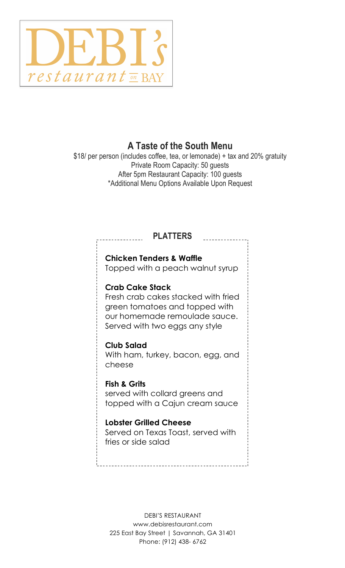

# **A Taste of the South Menu**

\$18/ per person (includes coffee, tea, or lemonade) + tax and 20% gratuity Private Room Capacity: 50 guests After 5pm Restaurant Capacity: 100 guests \*Additional Menu Options Available Upon Request

## **PLATTERS**

## **Chicken Tenders & Waffle**

Topped with a peach walnut syrup

#### **Crab Cake Stack**

Fresh crab cakes stacked with fried green tomatoes and topped with our homemade remoulade sauce. Served with two eggs any style

#### **Club Salad**

With ham, turkey, bacon, egg, and cheese

### **Fish & Grits**

served with collard greens and topped with a Cajun cream sauce

### **Lobster Grilled Cheese**

Served on Texas Toast, served with fries or side salad

DEBI'S RESTAURANT www.debisrestaurant.com 225 East Bay Street | Savannah, GA 31401 Phone: (912) 438- 6762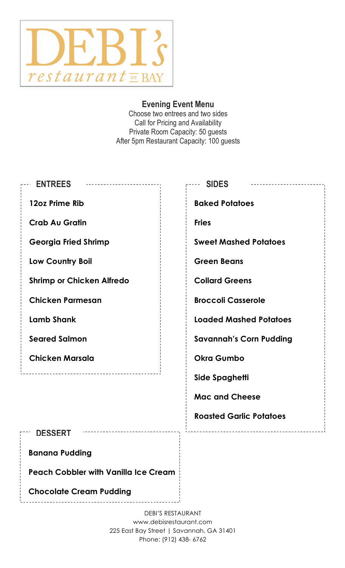

## **Evening Event Menu**

Choose two entrees and two sides Call for Pricing and Availability Private Room Capacity: 50 guests After 5pm Restaurant Capacity: 100 guests

| <b>ENTREES</b>                              | <b>SIDES</b>                   |  |
|---------------------------------------------|--------------------------------|--|
| 12oz Prime Rib                              | <b>Baked Potatoes</b>          |  |
| <b>Crab Au Gratin</b>                       | <b>Fries</b>                   |  |
| <b>Georgia Fried Shrimp</b>                 | <b>Sweet Mashed Potatoes</b>   |  |
| Low Country Boil                            | <b>Green Beans</b>             |  |
| <b>Shrimp or Chicken Alfredo</b>            | <b>Collard Greens</b>          |  |
| <b>Chicken Parmesan</b>                     | <b>Broccoli Casserole</b>      |  |
| <b>Lamb Shank</b>                           | <b>Loaded Mashed Potatoes</b>  |  |
| <b>Seared Salmon</b>                        | <b>Savannah's Corn Pudding</b> |  |
| <b>Chicken Marsala</b>                      | <b>Okra Gumbo</b>              |  |
| ----------------                            | Side Spaghetti                 |  |
|                                             | <b>Mac and Cheese</b>          |  |
|                                             | <b>Roasted Garlic Potatoes</b> |  |
| <b>DESSERT</b>                              |                                |  |
| <b>Banana Pudding</b>                       |                                |  |
| <b>Peach Cobbler with Vanilla Ice Cream</b> |                                |  |

**Chocolate Cream Pudding** 

DEBI'S RESTAURANT www.debisrestaurant.com 225 East Bay Street | Savannah, GA 31401 Phone: (912) 438- 6762

\_\_\_\_\_\_\_\_\_\_\_\_\_\_\_\_\_\_\_\_\_\_\_\_\_\_\_\_\_\_\_\_\_\_